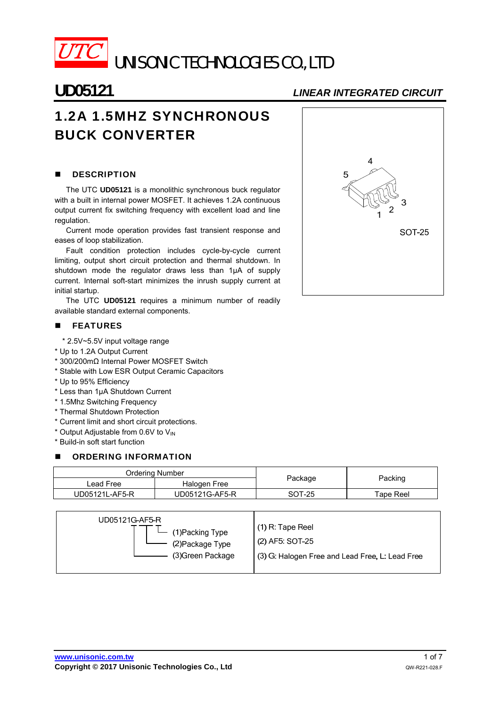

UNISONIC TECHNOLOGIES CO., LTD

# **UD05121** *LINEAR INTEGRATED CIRCUIT*

# 1.2A 1.5MHZ SYNCHRONOUS BUCK CONVERTER

# **DESCRIPTION**

The UTC **UD05121** is a monolithic synchronous buck regulator with a built in internal power MOSFET. It achieves 1.2A continuous output current fix switching frequency with excellent load and line regulation.

Current mode operation provides fast transient response and eases of loop stabilization.

Fault condition protection includes cycle-by-cycle current limiting, output short circuit protection and thermal shutdown. In shutdown mode the regulator draws less than 1µA of supply current. Internal soft-start minimizes the inrush supply current at initial startup.

The UTC **UD05121** requires a minimum number of readily available standard external components.

### **FEATURES**

\* 2.5V~5.5V input voltage range

- \* Up to 1.2A Output Current
- \* 300/200mΩ Internal Power MOSFET Switch
- \* Stable with Low ESR Output Ceramic Capacitors
- \* Up to 95% Efficiency
- \* Less than 1μA Shutdown Current
- \* 1.5Mhz Switching Frequency
- \* Thermal Shutdown Protection
- \* Current limit and short circuit protections.
- \* Output Adjustable from 0.6V to V<sub>IN</sub>
- \* Build-in soft start function

## **B** ORDERING INFORMATION

| Ordering Number |                |         |                 |  |
|-----------------|----------------|---------|-----------------|--|
| Lead Free       | Halogen Free   | Package | Packing         |  |
| UD05121L-AF5-R  | UD05121G-AF5-R | SOT-25  | $\tau$ ape Reel |  |

| UD05121G-AF5-R<br>$\Box$ (1) Packing Type<br>(2) Package Type<br>(3) Green Package | $(1)$ R: Tape Reel<br>(2) AF5: SOT-25<br>(3) G. Halogen Free and Lead Free, L. Lead Free |
|------------------------------------------------------------------------------------|------------------------------------------------------------------------------------------|
|------------------------------------------------------------------------------------|------------------------------------------------------------------------------------------|

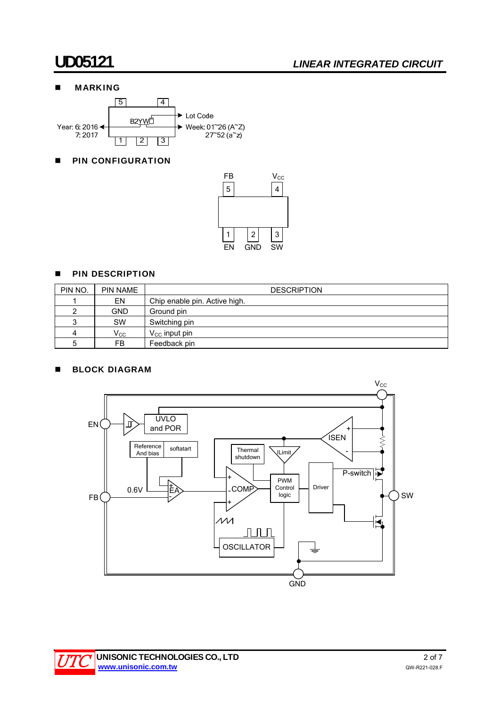# **UD05121** *LINEAR INTEGRATED CIRCUIT*

# **MARKING**



# **PIN CONFIGURATION**



## **PIN DESCRIPTION**

| PIN NO. | <b>PIN NAME</b> | <b>DESCRIPTION</b>            |
|---------|-----------------|-------------------------------|
|         | EN              | Chip enable pin. Active high. |
|         | <b>GND</b>      | Ground pin                    |
| 2       | SW              | Switching pin                 |
| 4       | $V_{\rm CC}$    | $V_{\rm CC}$ input pin        |
| 5       | FB.             | Feedback pin                  |

## **BLOCK DIAGRAM**



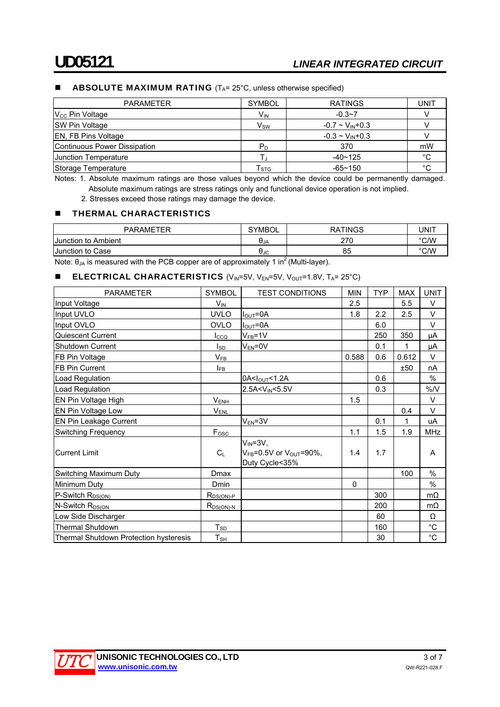### **ABSOLUTE MAXIMUM RATING** ( $T_A = 25^\circ$ C, unless otherwise specified)

| <b>PARAMETER</b>             | <b>SYMBOL</b>               | <b>RATINGS</b>           | UNIT       |
|------------------------------|-----------------------------|--------------------------|------------|
| $V_{\text{CC}}$ Pin Voltage  | V <sub>IN</sub>             | $-0.3 - 7$               |            |
| <b>SW Pin Voltage</b>        | $V_{SW}$                    | $-0.7 \sim V_{IN} + 0.3$ |            |
| <b>EN, FB Pins Voltage</b>   |                             | $-0.3 \sim V_{IN} + 0.3$ |            |
| Continuous Power Dissipation | $P_D$                       | 370                      | mW         |
| Uunction Temperature         |                             | $-40 - 125$              | °С         |
| Storage Temperature          | $\mathsf{r}_{\texttt{STG}}$ | $-65 - 150$              | $^{\circ}$ |

Notes: 1. Absolute maximum ratings are those values beyond which the device could be permanently damaged. Absolute maximum ratings are stress ratings only and functional device operation is not implied.

2. Stresses exceed those ratings may damage the device.

#### **THERMAL CHARACTERISTICS**

| <b>PARAMETER</b>       | <b>SYMBOL</b>          | <b>TINGS</b><br>RA | UNIT |
|------------------------|------------------------|--------------------|------|
| Ambient<br>Junction to | UJA                    | 270                | °C/W |
| Junction to Case       | <b>A</b> <sup>1C</sup> | 85                 | °C/W |

Note:  $θ<sub>JA</sub>$  is measured with the PCB copper are of approximately 1 in<sup>2</sup> (Multi-layer).

### **ELECTRICAL CHARACTERISTICS** (V<sub>IN</sub>=5V, V<sub>EN</sub>=5V, V<sub>OUT</sub>=1.8V, T<sub>A</sub>= 25°C)

| <b>PARAMETER</b>                              | <b>SYMBOL</b>          | <b>TEST CONDITIONS</b>                                                                   | <b>MIN</b> | <b>TYP</b> | <b>MAX</b> | <b>UNIT</b> |
|-----------------------------------------------|------------------------|------------------------------------------------------------------------------------------|------------|------------|------------|-------------|
| Input Voltage                                 | $V_{IN}$               |                                                                                          | 2.5        |            | 5.5        | V           |
| Input UVLO                                    | <b>UVLO</b>            | $I_{\text{OUT}} = 0A$                                                                    | 1.8        | 2.2        | 2.5        | V           |
| Input OVLO                                    | OVLO                   | $I_{\text{OUT}} = 0A$                                                                    |            | 6.0        |            | $\vee$      |
| Quiescent Current                             | $_{\text{LCO}}$        | $V_{FB} = 1V$                                                                            |            | 250        | 350        | μA          |
| Shutdown Current                              | $I_{SD}$               | $V_{EN} = 0V$                                                                            |            | 0.1        | 1          | μA          |
| FB Pin Voltage                                | $V_{FB}$               |                                                                                          | 0.588      | 0.6        | 0.612      | $\vee$      |
| <b>FB Pin Current</b>                         | IFB                    |                                                                                          |            |            | ±50        | nA          |
| Load Regulation                               |                        | 0A <lout<1.2a< td=""><td></td><td>0.6</td><td></td><td><math>\%</math></td></lout<1.2a<> |            | 0.6        |            | $\%$        |
| Load Regulation                               |                        | 2.5A< V <sub>IN</sub> < 5.5V                                                             |            | 0.3        |            | $\%$ /V     |
| EN Pin Voltage High                           | $V_{ENH$               |                                                                                          | 1.5        |            |            | $\vee$      |
| EN Pin Voltage Low                            | $V_{EML}$              |                                                                                          |            |            | 0.4        | $\vee$      |
| EN Pin Leakage Current                        |                        | $V_{EN} = 3V$                                                                            |            | 0.1        | 1          | uA          |
| <b>Switching Frequency</b>                    | $F_{\underline{OSC}}$  |                                                                                          | 1.1        | 1.5        | 1.9        | MHz         |
| <b>Current Limit</b>                          | $C_L$                  | $V_{IN} = 3V,$<br>$V_{FB}$ =0.5V or $V_{OUT}$ =90%,<br>Duty Cycle<35%                    | 1.4        | 1.7        |            | A           |
| Switching Maximum Duty                        | Dmax                   |                                                                                          |            |            | 100        | %           |
| Minimum Duty                                  | <b>Dmin</b>            |                                                                                          | 0          |            |            | $\%$        |
| P-Switch R <sub>DS(ON)</sub>                  | $R_{DS(ON) \text{-}P}$ |                                                                                          |            | 300        |            | $m\Omega$   |
| N-Switch R <sub>DS(ON</sub>                   | $R_{DS(ON)-N}$         |                                                                                          |            | 200        |            | $m\Omega$   |
| Low Side Discharger                           |                        |                                                                                          |            | 60         |            | Ω           |
| <b>Thermal Shutdown</b>                       | $T_{SD}$               |                                                                                          |            | 160        |            | $^{\circ}C$ |
| <b>Thermal Shutdown Protection hysteresis</b> | ${\sf T}_{\sf SH}$     |                                                                                          |            | 30         |            | $^{\circ}C$ |

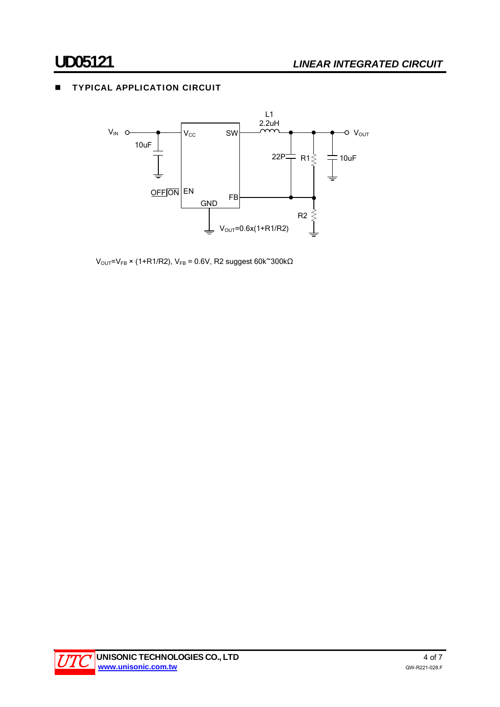# **TYPICAL APPLICATION CIRCUIT**



 $V<sub>OUT</sub>=V<sub>FB</sub> × (1+R1/R2), V<sub>FB</sub> = 0.6V, R2 suggest 60k<sup>300k<sub>Ω</sub></sup>$ 

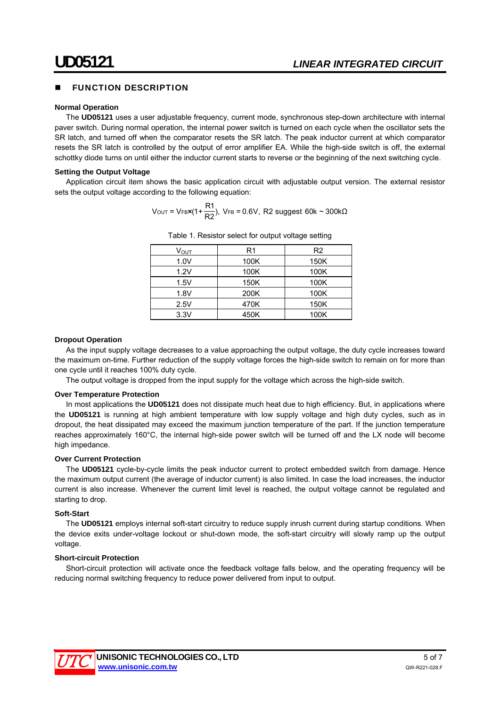## FUNCTION DESCRIPTION

#### **Normal Operation**

The **UD05121** uses a user adjustable frequency, current mode, synchronous step-down architecture with internal paver switch. During normal operation, the internal power switch is turned on each cycle when the oscillator sets the SR latch, and turned off when the comparator resets the SR latch. The peak inductor current at which comparator resets the SR latch is controlled by the output of error amplifier EA. While the high-side switch is off, the external schottky diode turns on until either the inductor current starts to reverse or the beginning of the next switching cycle.

#### **Setting the Output Voltage**

Application circuit item shows the basic application circuit with adjustable output version. The external resistor sets the output voltage according to the following equation:

$$
V_{\text{OUT}} = V_{\text{FBX}}(1 + \frac{R1}{R2}), \ V_{\text{FB}} = 0.6V, R2 \text{ suggest } 60k \sim 300k\Omega
$$

| V <sub>ουτ</sub> | R1   | R <sub>2</sub> |
|------------------|------|----------------|
| 1.0V             | 100K | 150K           |
| 1.2V             | 100K | 100K           |
| 1.5V             | 150K | 100K           |
| 1.8V             | 200K | 100K           |
| 2.5V             | 470K | 150K           |
| 3.3V             | 450K | 100K           |

Table 1. Resistor select for output voltage setting

#### **Dropout Operation**

As the input supply voltage decreases to a value approaching the output voltage, the duty cycle increases toward the maximum on-time. Further reduction of the supply voltage forces the high-side switch to remain on for more than one cycle until it reaches 100% duty cycle.

The output voltage is dropped from the input supply for the voltage which across the high-side switch.

#### **Over Temperature Protection**

In most applications the **UD05121** does not dissipate much heat due to high efficiency. But, in applications where the **UD05121** is running at high ambient temperature with low supply voltage and high duty cycles, such as in dropout, the heat dissipated may exceed the maximum junction temperature of the part. If the junction temperature reaches approximately 160°C, the internal high-side power switch will be turned off and the LX node will become high impedance.

#### **Over Current Protection**

The **UD05121** cycle-by-cycle limits the peak inductor current to protect embedded switch from damage. Hence the maximum output current (the average of inductor current) is also limited. In case the load increases, the inductor current is also increase. Whenever the current limit level is reached, the output voltage cannot be regulated and starting to drop.

#### **Soft-Start**

The **UD05121** employs internal soft-start circuitry to reduce supply inrush current during startup conditions. When the device exits under-voltage lockout or shut-down mode, the soft-start circuitry will slowly ramp up the output voltage.

#### **Short-circuit Protection**

Short-circuit protection will activate once the feedback voltage falls below, and the operating frequency will be reducing normal switching frequency to reduce power delivered from input to output.

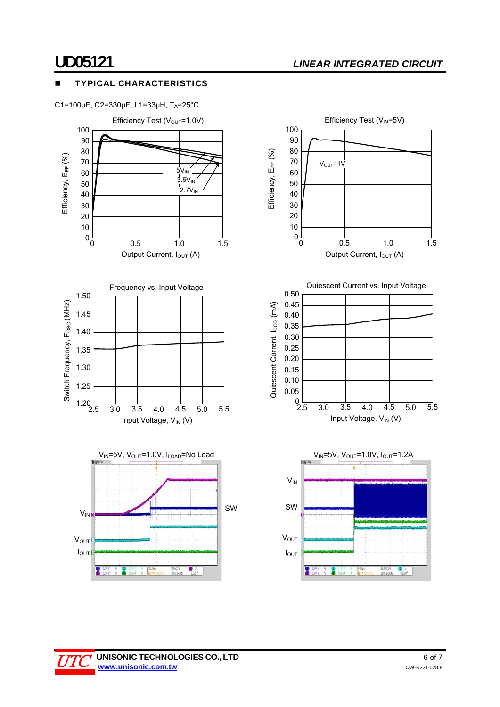# **UD05121** *LINEAR INTEGRATED CIRCUIT*

# TYPICAL CHARACTERISTICS

C1=100μF, C2=330μF, L1=33μH, TA=25°C